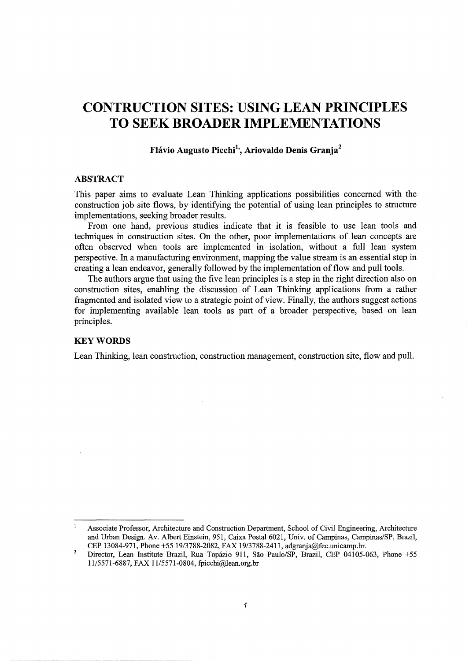# **CONTRUCTION SITES: USING LEAN PRINCIPLES TO SEEK BROADER IMPLEMENTATIONS**

**Fhivio Augusto Picchi\ Ariovaldo Denis Granja<sup>2</sup>**

# **ABSTRACT**

This paper aims to evaluate Lean Thinking applications possibilities concerned with the construction job site flows, by identifying the potential of using lean principles to structure implementations, seeking broader results.

From one hand, previous studies indicate that it is feasible to use lean tools and techniques in construction sites. On the other, poor implementations of lean concepts are often observed when tools are implemented in isolation, without a full lean system perspective. In a manufacturing environment, mapping the value stream is an essential step in creating a lean endeavor, generally followed by the implementation of flow and pull tools.

The authors argue that using the five lean principles is a step in the right direction also on construction sites, enabling the discussion of Lean Thinking applications from a rather fragmented and isolated view to a strategic point of view. Finally, the authors suggest actions for implementing available lean tools as part of a broader perspective, based on lean principles.

# **KEYWORDS**

Lean Thinking, lean construction, construction management, construction site, flow and pull.

 $\mathbf{I}$ Associate Professor, Architecture and Construction Department, School of Civil Engineering, Architecture and Urban Design. Av. Albert Einstein, 951, Caixa Postal 6021, Univ. of Campinas, Campinas/SP, Brazil, CEP 13084-971, Phone +55 19/3788-2082, FAX 19/3788-2411, adgranja@fec.unicamp.br.

<sup>2</sup>  Director, Lean Institute Brazil, Rua Topázio 911, São Paulo/SP, Brazil, CEP 04105-063, Phone +55 11/5571-6887, FAX 11/5571-0804, fpicchi@lean.org.br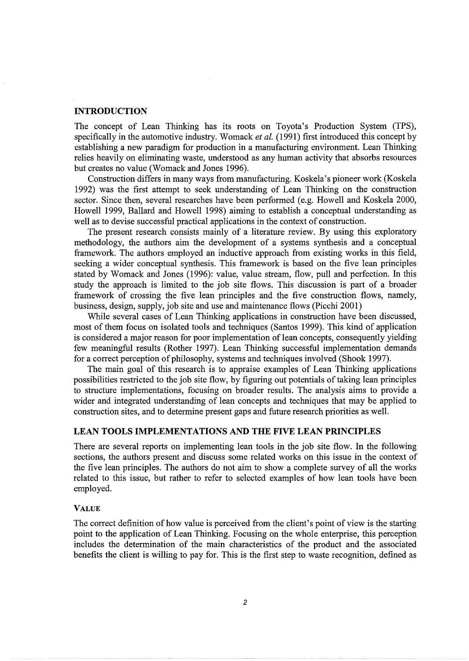### **INTRODUCTION**

The concept of Lean Thinking has its roots on Toyota's Production System (TPS), specifically in the automotive industry. Womack *et al.* (1991) first introduced this concept by establishing a new paradigm for production in a manufacturing environment. Lean Thinking relies heavily on eliminating waste, understood as any human activity that absorbs resources but creates no value (Womack and Jones 1996).

Construction differs in many ways from manufacturing. Koskela's pioneer work (Koskela 1992) was the first attempt to seek understanding of Lean Thinking on the construction sector. Since then, several researches have been performed (e.g. Howell and Koskela 2000, Howell 1999, Ballard and Howell 1998) aiming to establish a conceptual understanding as well as to devise successful practical applications in the context of construction.

The present research consists mainly of a literature review. By using this exploratory methodology, the authors aim the development of a systems synthesis and a conceptual framework. The authors employed an inductive approach from existing works in this field, seeking a wider conceptual synthesis. This framework is based on the five lean principles stated by Womack and Jones (1996): value, value stream, flow, pull and perfection. In this study the approach is limited to the job site flows. This discussion is part of a broader framework of crossing the five lean principles and the five construction flows, namely, business, design, supply, job site and use and maintenance flows (Picchi 2001)

While several cases of Lean Thinking applications in construction have been discussed, most of them focus on isolated tools and techniques (Santos 1999). This kind of application is considered a major reason for poor implementation of lean concepts, consequently yielding few meaningful results (Rother 1997). Lean Thinking successful implementation demands for a correct perception of philosophy, systems and techniques involved (Shook 1997).

The main goal of this research is to appraise examples of Lean Thinking applications possibilities restricted to the job site flow, by figuring out potentials of taking lean principles to structure implementations, focusing on broader results. The analysis aims to provide a wider and integrated understanding of lean concepts and techniques that may be applied to construction sites, and to determine present gaps and future research priorities as well.

# **LEAN TOOLS IMPLEMENTATIONS AND THE FIVE LEAN PRINCIPLES**

There are several reports on implementing lean tools in the job site flow. In the following sections, the authors present and discuss some related works on this issue in the context of the five lean principles. The authors do not aim to show a complete survey of all the works related to this issue, but rather to refer to selected examples of how lean tools have been employed.

# VALUE

The correct definition of how value is perceived from the client's point of view is the starting point to the application of Lean Thinking. Focusing on the whole enterprise, this perception includes the determination of the main characteristics of the product and the associated benefits the client is willing to pay for. This is the first step to waste recognition, defined as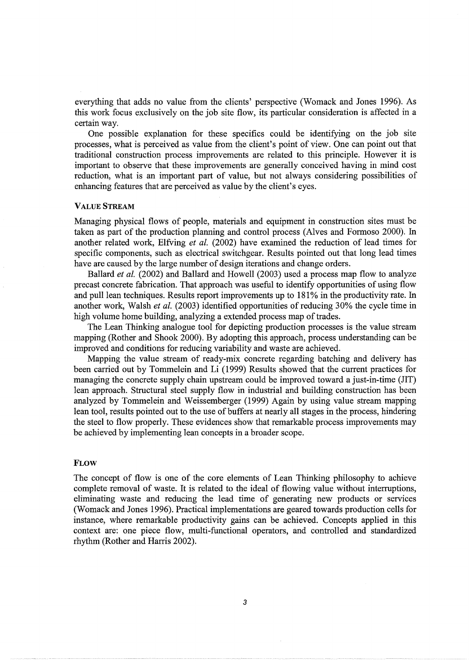everything that adds no value from the clients' perspective (Womack and Jones 1996). As this work focus exclusively on the job site flow, its particular consideration is affected in a certain way.

One possible explanation for these specifics could be identifying on the job site processes, what is perceived as value from the client's point of view. One can point out that traditional construction process improvements are related to this principle. However it is important to observe that these improvements are generally conceived having in mind cost reduction, what is an important part of value, but not always considering possibilities of enhancing features that are perceived as value by the client's eyes.

## VALUE STREAM

Managing physical flows of people, materials and equipment in construction sites must be taken as part of the production planning and control process (Alves and Formoso 2000). In another related work, Elfving *et al.* (2002) have examined the reduction of lead times for specific components, such as electrical switchgear. Results pointed out that long lead times have are caused by the large number of design iterations and change orders.

Ballard *et al.* (2002) and Ballard and Howell (2003) used a process map flow to analyze precast concrete fabrication. That approach was useful to identify opportunities of using flow and pull lean techniques. Results report improvements up to 181% in the productivity rate. In another work, Walsh *et al.* (2003) identified opportunities of reducing 30% the cycle time in high volume home building, analyzing a extended process map of trades.

The Lean Thinking analogue tool for depicting production processes is the value stream mapping (Rother and Shook 2000). By adopting this approach, process understanding can be improved and conditions for reducing variability and waste are achieved.

Mapping the value stream of ready-mix concrete regarding hatching and delivery has been carried out by Tommelein and Li (1999) Results showed that the current practices for managing the concrete supply chain upstream could be improved toward a just-in-time (JIT) lean approach. Structural steel supply flow in industrial and building construction has been analyzed by Tommelein and Weissemberger (1999) Again by using value stream mapping lean tool, results pointed out to the use of buffers at nearly all stages in the process, hindering the steel to flow properly. These evidences show that remarkable process improvements may be achieved by implementing lean concepts in a broader scope.

#### FLOW

The concept of flow is one of the core elements of Lean Thinking philosophy to achieve complete removal of waste. It is related to the ideal of flowing value without interruptions, eliminating waste and reducing the lead time of generating new products or services (Womack and Jones 1996). Practical implementations are geared towards production cells for instance, where remarkable productivity gains can be achieved. Concepts applied in this context are: one piece flow, multi-functional operators, and controlled and standardized rhythm (Rother and Harris 2002).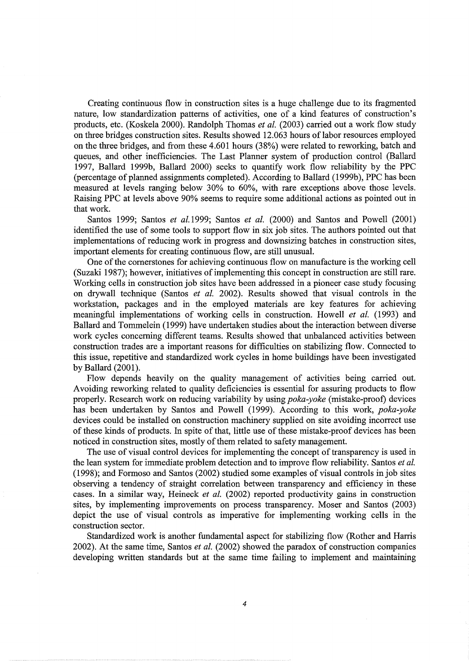Creating continuous flow in construction sites is a huge challenge due to its fragmented nature, low standardization patterns of activities, one of a kind features of construction's products, etc. (Koskela 2000). Randolph Thomas *eta!.* (2003) carried out a work flow study on three bridges construction sites. Results showed 12.063 hours of labor resources employed on the three bridges, and from these 4.601 hours (38%) were related to reworking, batch and queues, and other inefficiencies. The Last Planner system of production control (Ballard 1997, Ballard 1999b, Ballard 2000) seeks to quantify work flow reliability by the PPC (percentage of planned assignments completed). According to Ballard (1999b), PPC has been measured at levels ranging below 30% to 60%, with rare exceptions above those levels. Raising PPC at levels above 90% seems to require some additional actions as pointed out in that work.

Santos 1999; Santos *et* a/.1999; Santos *et a!.* (2000) and Santos and Powell (2001) identified the use of some tools to support flow in six job sites. The authors pointed out that implementations of reducing work in progress and downsizing batches in construction sites, important elements for creating continuous flow, are still unusual.

One of the cornerstones for achieving continuous flow on manufacture is the working cell (Suzaki 1987); however, initiatives of implementing this concept in construction are still rare. Working cells in construction job sites have been addressed in a pioneer case study focusing on drywall technique (Santos *et a!.* 2002). Results showed that visual controls in the workstation, packages and in the employed materials are key features for achieving meaningful implementations of working cells in construction. Howell *et a!.* (1993) and Ballard and Tommelein (1999) have undertaken studies about the interaction between diverse work cycles concerning different teams. Results showed that unbalanced activities between construction trades are a important reasons for difficulties on stabilizing flow. Connected to this issue, repetitive and standardized work cycles in home buildings have been investigated by Ballard (2001).

Flow depends heavily on the quality management of activities being carried out. A voiding reworking related to quality deficiencies is essential for assuring products to flow properly. Research work on reducing variability by using *poka-yoke* (mistake-proof) devices has been undertaken by Santos and Powell (1999). According to this work, *poka-yoke*  devices could be installed on construction machinery supplied on site avoiding incorrect use of these kinds of products. In spite of that, little use of these mistake-proof devices has been noticed in construction sites, mostly of them related to safety management.

The use of visual control devices for implementing the concept of transparency is used in the lean system for immediate problem detection and to improve flow reliability. Santos *eta!.*   $(1998)$ ; and Formoso and Santos  $(2002)$  studied some examples of visual controls in job sites observing a tendency of straight correlation between transparency and efficiency in these cases. In a similar way, Reineck *et a!.* (2002) reported productivity gains in construction sites, by implementing improvements on process transparency. Moser and Santos (2003) depict the use of visual controls as imperative for implementing working cells in the construction sector.

Standardized work is another fundamental aspect for stabilizing flow (Rother and Harris 2002). At the same time, Santos *et a!.* (2002) showed the paradox of construction companies developing written standards but at the same time failing to implement and maintaining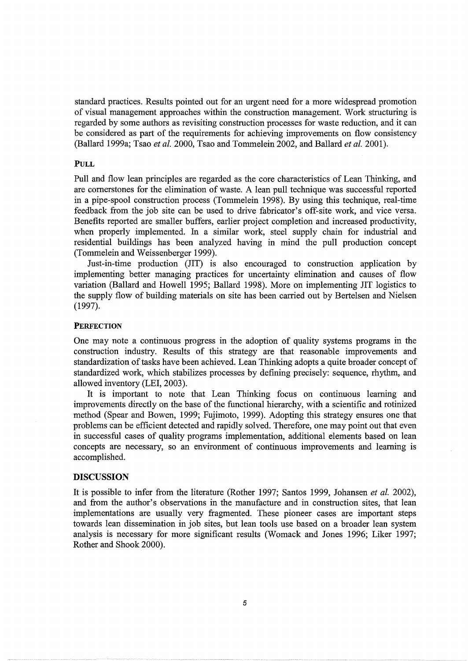standard practices. Results pointed out for an urgent need for a more widespread promotion of visual management approaches within the construction management. Work structuring is regarded by some authors as revisiting construction processes for waste reduction, and it can be considered as part of the requirements for achieving improvements on flow consistency (Ballard 1999a; Tsao *et al.* 2000, Tsao and Tommelein 2002, and Ballard *et al.* 2001).

#### **PULL**

Pull and flow lean principles are regarded as the core characteristics of Lean Thinking, and are cornerstones for the elimination of waste. A lean pull technique was successful reported in a pipe-spool construction process (Tommelein 1998). By using this technique, real-time feedback from the job site can be used to drive fabricator's off-site work, and vice versa. Benefits reported are smaller buffers, earlier project completion and increased productivity, when properly implemented. In a similar work, steel supply chain for industrial and residential buildings has been analyzed having in mind the pull production concept (Tommelein and Weissenberger 1999).

Just-in-time production (JIT) is also encouraged to construction application by implementing better managing practices for uncertainty elimination and causes of flow variation (Ballard and Howell 1995; Ballard 1998). More on implementing JIT logistics to the supply flow of building materials on site has been carried out by Bertelsen and Nielsen (1997).

#### **PERFECTION**

One may note a continuous progress in the adoption of quality systems programs in the construction industry. Results of this strategy are that reasonable improvements and standardization of tasks have been achieved. Lean Thinking adopts a quite broader concept of standardized work, which stabilizes processes by defining precisely: sequence, rhythm, and allowed inventory (LEI, 2003).

It is important to note that Lean Thinking focus on continuous learning and improvements directly on the base of the functional hierarchy, with a scientific and rotinized method (Spear and Bowen, 1999; Fujimoto, 1999). Adopting this strategy ensures one that problems can be efficient detected and rapidly solved. Therefore, one may point out that even in successful cases of quality programs implementation, additional elements based on lean concepts are necessary, so an environment of continuous improvements and learning is accomplished.

#### **DISCUSSION**

It is possible to infer from the literature (Rother 1997; Santos 1999, Johansen *et al.* 2002), and from the author's observations in the manufacture and in construction sites, that lean implementations are usually very fragmented. These pioneer cases are important steps towards lean dissemination in job sites, but lean tools use based on a broader lean system analysis is necessary for more significant results (Womack and Jones 1996; Liker 1997; Rother and Shook 2000).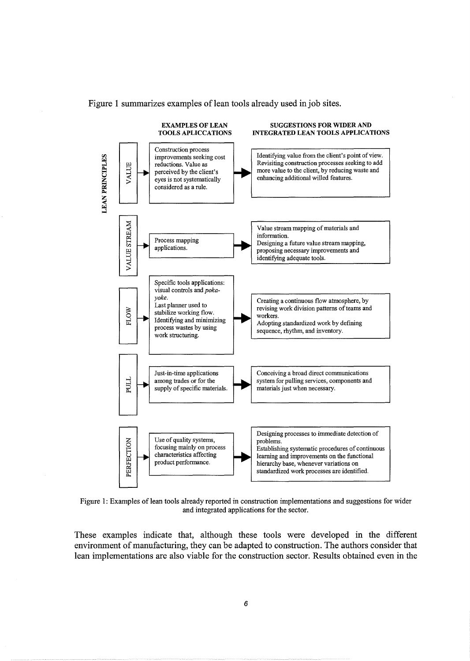

Figure 1 summarizes examples of lean tools already used in job sites.

Figure 1: Examples of lean tools already reported in construction implementations and suggestions for wider and integrated applications for the sector.

These examples indicate that, although these tools were developed in the different environment of manufacturing, they can be adapted to construction. The authors consider that lean implementations are also viable for the construction sector. Results obtained even in the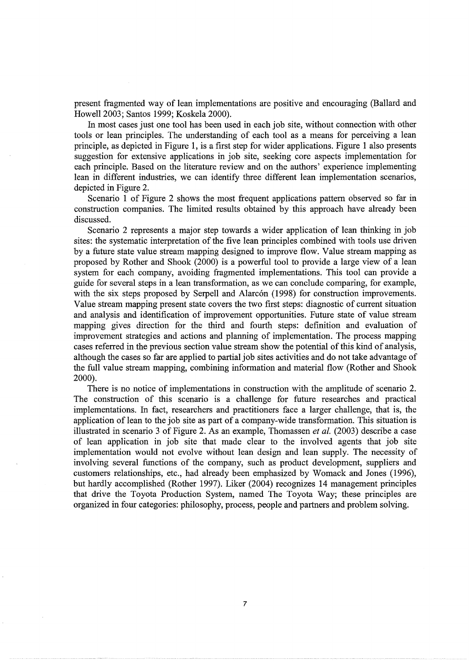present fragmented way of lean implementations are positive and encouraging (Ballard and Howell2003; Santos 1999; Koskela 2000).

In most cases just one tool has been used in each job site, without connection with other tools or lean principles. The understanding of each tool as a means for perceiving a lean principle, as depicted in Figure 1, is a first step for wider applications. Figure 1 also presents suggestion for extensive applications in job site, seeking core aspects implementation for each principle. Based on the literature review and on the authors' experience implementing lean in different industries, we can identify three different lean implementation scenarios, depicted in Figure 2.

Scenario 1 of Figure 2 shows the most frequent applications pattern observed so far in construction companies. The limited results obtained by this approach have already been discussed.

Scenario 2 represents a major step towards a wider application of lean thinking in job sites: the systematic interpretation of the five lean principles combined with tools use driven by a future state value stream mapping designed to improve flow. Value stream mapping as proposed by Rother and Shook (2000) is a powerful tool to provide a large view of a lean system for each company, avoiding fragmented implementations. This tool can provide a guide for several steps in a lean transformation, as we can conclude comparing, for example, with the six steps proposed by Serpell and Alarcón (1998) for construction improvements. Value stream mapping present state covers the two first steps: diagnostic of current situation and analysis and identification of improvement opportunities. Future state of value stream mapping gives direction for the third and fourth steps: definition and evaluation of improvement strategies and actions and planning of implementation. The process mapping cases referred in the previous section value stream show the potential of this kind of analysis, although the cases so far are applied to partial job sites activities and do not take advantage of the full value stream mapping, combining information and material flow (Rother and Shook 2000).

There is no notice of implementations in construction with the amplitude of scenario 2. The construction of this scenario is a challenge for future researches and practical implementations. In fact, researchers and practitioners face a larger challenge, that is, the application of lean to the job site as part of a company-wide transformation. This situation is illustrated in scenario 3 of Figure 2. As an example, Thomassen *et al.* (2003) describe a case of lean application in job site that made clear to the involved agents that job site implementation would not evolve without lean design and lean supply. The necessity of involving several functions of the company, such as product development, suppliers and customers relationships, etc., had already been emphasized by Womack and Jones (1996), but hardly accomplished (Rother 1997). Liker (2004) recognizes 14 management principles that drive the Toyota Production System, named The Toyota Way; these principles are organized in four categories: philosophy, process, people and partners and problem solving.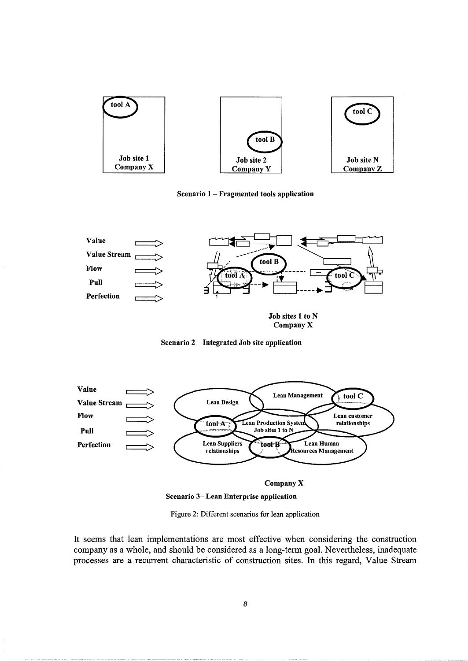

Scenario 1 - Fragmented tools application



Company X





#### Company X

Scenario 3- Lean Enterprise application

Figure 2: Different scenarios for lean application

It seems that lean implementations are most effective when considering the construction company as a whole, and should be considered as a long-term goal. Nevertheless, inadequate processes are a recurrent characteristic of construction sites. In this regard, Value Stream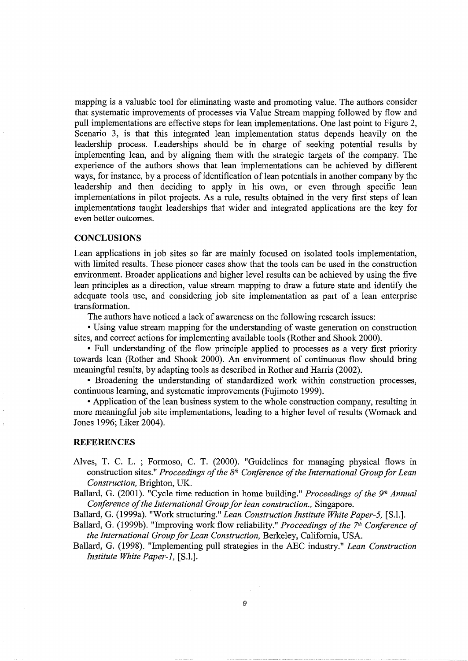mapping is a valuable tool for eliminating waste and promoting value. The authors consider that systematic improvements of processes via Value Stream mapping followed by flow and pull implementations are effective steps for lean implementations. One last point to Figure 2, Scenario 3, is that this integrated lean implementation status depends heavily on the leadership process. Leaderships should be in charge of seeking potential results by implementing lean, and by aligning them with the strategic targets of the company. The experience of the authors shows that lean implementations can be achieved by different ways, for instance, by a process of identification of lean potentials in another company by the leadership and then deciding to apply in his own, or even through specific lean implementations in pilot projects. As a rule, results obtained in the very first steps of lean implementations taught leaderships that wider and integrated applications are the key for even better outcomes.

#### **CONCLUSIONS**

Lean applications in job sites so far are mainly focused on isolated tools implementation, with limited results. These pioneer cases show that the tools can be used in the construction environment. Broader applications and higher level results can be achieved by using the five lean principles as a direction, value stream mapping to draw a future state and identify the adequate tools use, and considering job site implementation as part of a lean enterprise transformation.

The authors have noticed a lack of awareness on the following research issues:

• Using value stream mapping for the understanding of waste generation on construction sites, and correct actions for implementing available tools (Rother and Shook 2000).

• Full understanding of the flow principle applied to processes as a very first priority towards lean (Rother and Shook 2000). An environment of continuous flow should bring meaningful results, by adapting tools as described in Rother and Harris (2002).

• Broadening the understanding of standardized work within construction processes, continuous learning, and systematic improvements (Fujimoto 1999).

• Application of the lean business system to the whole construction company, resulting in more meaningful job site implementations, leading to a higher level of results (Womack and Jones 1996; Liker 2004).

## **REFERENCES**

- Alves, T. C. L. ; Formoso, C. T. (2000). "Guidelines for managing physical flows in construction sites." *Proceedings of the 8th Conference of the International Group for Lean Construction,* Brighton, UK.
- Ballard, G. (2001). "Cycle time reduction in home building." *Proceedings of the 9<sup>th</sup> Annual Conference of the International Group for lean construction.,* Singapore.

Ballard, G. (1999a). "Work structuring." *Lean Construction Institute White Paper-5,* [S.l.].

- Ballard, G. (1999b). "Improving work flow reliability." *Proceedings of the 7<sup>th</sup> Conference of the International Group for Lean Construction,* Berkeley, California, USA.
- Ballard, G. (1998). "Implementing pull strategies in the AEC industry." *Lean Construction Institute White Paper-*I, [S.l.].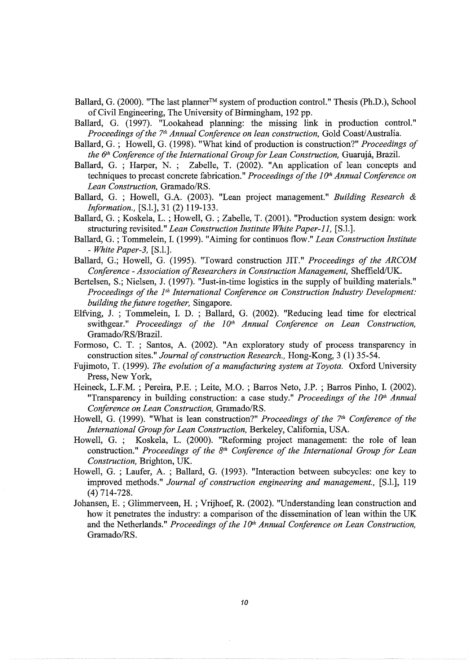- Ballard, G. (2000). "The last planner™ system of production control." Thesis (Ph.D.), School of Civil Engineering, The University of Birmingham, 192 pp.
- Ballard, G. (1997). "Lookahead planning: the missing link in production control." *Proceedings of the 7<sup>th</sup> Annual Conference on lean construction, Gold Coast/Australia.*
- Ballard, G.; Howell, G. (1998). "What kind of production is construction?" *Proceedings of the 6<sup>th</sup> Conference of the International Group for Lean Construction, Guarujá, Brazil.*
- Ballard, G. ; Harper, N. ; Zabelle, T. (2002). "An application of lean concepts and techniques to precast concrete fabrication." *Proceedings of the 10<sup>th</sup> Annual Conference on Lean Construction,* Gramado/RS.
- Ballard, G. ; Howell, G.A. (2003). "Lean project management." *Building Research* & *Information.,* [S.l.], 31 (2) 119-133.
- Ballard, G. ; Koskela, L. ; Howell, G. ; Zabelle, T. (2001). "Production system design: work structuring revisited." *Lean Construction Institute White Paper-*II, [S.l.].
- Ballard, G.; Tommelein, I. (1999). "Aiming for continuos flow." *Lean Construction Institute*  - *White Paper-3,* [S.l.].
- Ballard, G.; Howell, G. (1995). "Toward construction JIT." *Proceedings of the ARCOM Conference* - *Association of Researchers in Construction Management,* Sheffield/UK.
- Bertelsen, S.; Nielsen, J. (1997). "Just-in-time logistics in the supply of building materials." *Proceedings of the 1<sup>th</sup> International Conference on Construction Industry Development: building the future together,* Singapore.
- Elfving, J. ; Tommelein, I. D. ; Ballard, G. (2002). "Reducing lead time for electrical swithgear." *Proceedings of the 10<sup>th</sup> Annual Conference on Lean Construction*, Gramado/RS/Brazil.
- Formoso, C. T. ; Santos, A. (2002). "An exploratory study of process transparency in construction sites." *Journal of construction Research.,* Hong-Kong, 3 (1) 35-54.
- Fujimoto, T. (1999). *The evolution of a manufacturing system at Toyota.* Oxford University Press, New York,
- Reineck, L.F.M. ; Pereira, P.E. ; Leite, M.O. ; Barros Neto, J.P. ; Barros Pinho, I. (2002). "Transparency in building construction: a case study." *Proceedings of the 10<sup>th</sup> Annual Conference on Lean Construction,* Gramado/RS.

Howell, G. (1999). "What is lean construction?" *Proceedings of the 7th Conference of the International Group for Lean Construction,* Berkeley, California, USA.

- Howell, G. ; Koskela, L. (2000). "Reforming project management: the role of lean construction." *Proceedings of the 8th Conference of the International Group for Lean Construction,* Brighton, UK.
- Howell, G. ; Laufer, A. ; Ballard, G. (1993). "Interaction between subcycles: one key to improved methods." *Journal of construction engineering and management.,* [S.l.], 119 (4) 714-728.
- Johansen, E. ; Glimmerveen, H. ; Vrijhoef, R. (2002). "Understanding lean construction and how it penetrates the industry: a comparison of the dissemination of lean within the UK and the Netherlands." *Proceedings of the 10<sup>th</sup> Annual Conference on Lean Construction*, Gramado/RS.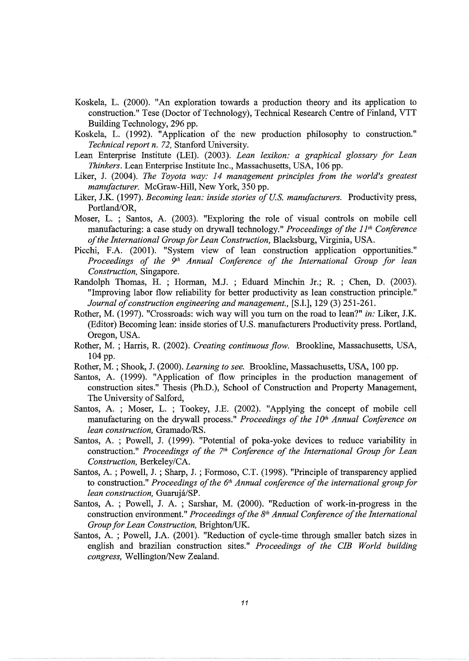- Koskela, L. (2000). "An exploration towards a production theory and its application to construction." Tese (Doctor of Technology), Technical Research Centre of Finland, VTT Building Technology, 296 pp.
- Koskela, L. (1992). "Application of the new production philosophy to construction." *Technical report n. 72,* Stanford University.
- Lean Enterprise Institute (LEI). (2003). *Lean lexikon: a graphical glossary for Lean Thinkers.* Lean Enterprise Institute Inc., Massachusetts, USA, 106 pp.
- Liker, J. (2004). *The Toyota way: 14 management principles from the world's greatest manufacturer.* McGraw-Hill, New York, 350 pp.
- Liker, J.K. (1997). *Becoming lean: inside stories of US. manufacturers.* Productivity press, Portland/OR,
- Moser, L. ; Santos, A. (2003). "Exploring the role of visual controls on mobile cell manufacturing: a case study on drywall technology." *Proceedings of the 11th Conference of the International Group for Lean Construction,* Blacksburg, Virginia, USA.
- Picchi, F.A. (2001). "System view of lean construction application opportunities." *Proceedings of the 9th Annual Conference of the International Group for lean Construction,* Singapore.
- Randolph Thomas, H. ; Horman, M.J. ; Eduard Minchin Jr.; R. ; Chen, D. (2003). "Improving labor flow reliability for better productivity as lean construction principle." *Journal of construction engineering and management.,* [S.l.], 129 (3) 251-261.
- Rother, M. (1997). "Crossroads: wich way will you tum on the road to lean?" *in:* Liker, J.K. (Editor) Becoming lean: inside stories of U.S. manufacturers Productivity press. Portland, Oregon, USA.
- Rother, M. ; Harris, R. (2002). *Creating continuous flow.* Brookline, Massachusetts, USA, 104 pp.
- Rother, M.; Shook, J. (2000). *Learning to see.* Brookline, Massachusetts, USA, 100 pp.
- Santos, A. (1999). "Application of flow principles in the production management of construction sites." Thesis (Ph.D.), School of Construction and Property Management, The University of Salford,
- Santos, A. ; Moser, L. ; Tookey, J.E. (2002). "Applying the concept of mobile cell manufacturing on the drywall process." *Proceedings of the 10<sup>th</sup> Annual Conference on lean construction,* Gramado/RS.
- Santos, A. ; Powell, J. (1999). "Potential of poka-yoke devices to reduce variability in construction." *Proceedings of the 7<sup>th</sup> Conference of the International Group for Lean Construction,* Berkeley/CA.
- Santos, A. ; Powell, J. ; Sharp, J. ; Formoso, C.T. (1998). "Principle of transparency applied to construction." *Proceedings of the 6th Annual conference of the international group for lean construction,* Guaruja/SP.
- Santos, A. ; Powell, J. A. ; Sarshar, M. (2000). "Reduction of work-in-progress in the construction environment." *Proceedings of the 8*<sup>1</sup> *h Annual Conference of the International Group for Lean Construction,* Brighton/UK.
- Santos, A. ; Powell, J.A. (2001). "Reduction of cycle-time through smaller batch sizes in english and brazilian construction sites." *Proceedings of the CIB World building congress,* Wellington/New Zealand.